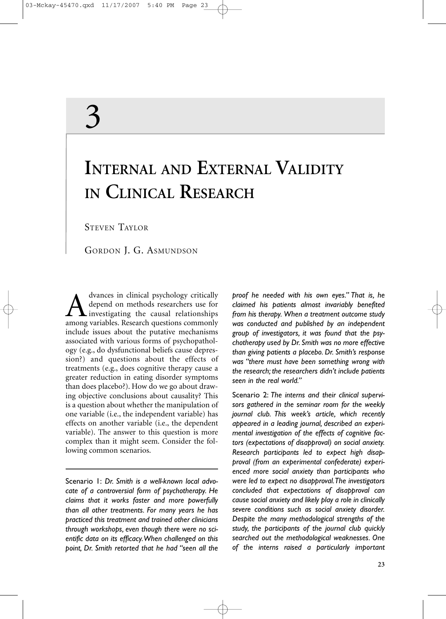# 3

## **INTERNAL AND EXTERNAL VALIDITY IN CLINICAL RESEARCH**

STEVEN TAYLOR

GORDON J. G. ASMUNDSON

dvances in clinical psychology critically depend on methods researchers use for investigating the causal relationships among variables. Research questions commonly include issues about the putative mechanisms associated with various forms of psychopathology (e.g., do dysfunctional beliefs cause depression?) and questions about the effects of treatments (e.g., does cognitive therapy cause a greater reduction in eating disorder symptoms than does placebo?). How do we go about drawing objective conclusions about causality? This is a question about whether the manipulation of one variable (i.e., the independent variable) has effects on another variable (i.e., the dependent variable). The answer to this question is more complex than it might seem. Consider the following common scenarios.

Scenario 1: *Dr. Smith is a well-known local advocate of a controversial form of psychotherapy. He claims that it works faster and more powerfully than all other treatments. For many years he has practiced this treatment and trained other clinicians through workshops, even though there were no scientific data on its efficacy.When challenged on this point, Dr. Smith retorted that he had "seen all the* *proof he needed with his own eyes." That is, he claimed his patients almost invariably benefited from his therapy. When a treatment outcome study was conducted and published by an independent group of investigators, it was found that the psychotherapy used by Dr. Smith was no more effective than giving patients a placebo. Dr. Smith's response was "there must have been something wrong with the research; the researchers didn't include patients seen in the real world."*

Scenario 2: *The interns and their clinical supervisors gathered in the seminar room for the weekly journal club. This week's article, which recently appeared in a leading journal, described an experimental investigation of the effects of cognitive factors (expectations of disapproval) on social anxiety. Research participants led to expect high disapproval (from an experimental confederate) experienced more social anxiety than participants who were led to expect no disapproval.The investigators concluded that expectations of disapproval can cause social anxiety and likely play a role in clinically severe conditions such as social anxiety disorder. Despite the many methodological strengths of the study, the participants of the journal club quickly searched out the methodological weaknesses. One of the interns raised a particularly important*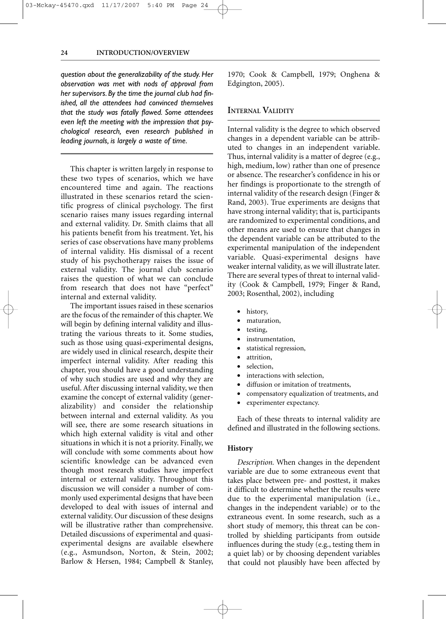#### **24 INTRODUCTION/OVERVIEW**

*question about the generalizability of the study. Her observation was met with nods of approval from her supervisors. By the time the journal club had finished, all the attendees had convinced themselves that the study was fatally flawed. Some attendees even left the meeting with the impression that psychological research, even research published in leading journals, is largely a waste of time.*

This chapter is written largely in response to these two types of scenarios, which we have encountered time and again. The reactions illustrated in these scenarios retard the scientific progress of clinical psychology. The first scenario raises many issues regarding internal and external validity. Dr. Smith claims that all his patients benefit from his treatment. Yet, his series of case observations have many problems of internal validity. His dismissal of a recent study of his psychotherapy raises the issue of external validity. The journal club scenario raises the question of what we can conclude from research that does not have "perfect" internal and external validity.

The important issues raised in these scenarios are the focus of the remainder of this chapter. We will begin by defining internal validity and illustrating the various threats to it. Some studies, such as those using quasi-experimental designs, are widely used in clinical research, despite their imperfect internal validity. After reading this chapter, you should have a good understanding of why such studies are used and why they are useful. After discussing internal validity, we then examine the concept of external validity (generalizability) and consider the relationship between internal and external validity. As you will see, there are some research situations in which high external validity is vital and other situations in which it is not a priority. Finally, we will conclude with some comments about how scientific knowledge can be advanced even though most research studies have imperfect internal or external validity. Throughout this discussion we will consider a number of commonly used experimental designs that have been developed to deal with issues of internal and external validity. Our discussion of these designs will be illustrative rather than comprehensive. Detailed discussions of experimental and quasiexperimental designs are available elsewhere (e.g., Asmundson, Norton, & Stein, 2002; Barlow & Hersen, 1984; Campbell & Stanley, 1970; Cook & Campbell, 1979; Onghena & Edgington, 2005).

#### **INTERNAL VALIDITY**

Internal validity is the degree to which observed changes in a dependent variable can be attributed to changes in an independent variable. Thus, internal validity is a matter of degree (e.g., high, medium, low) rather than one of presence or absence. The researcher's confidence in his or her findings is proportionate to the strength of internal validity of the research design (Finger & Rand, 2003). True experiments are designs that have strong internal validity; that is, participants are randomized to experimental conditions, and other means are used to ensure that changes in the dependent variable can be attributed to the experimental manipulation of the independent variable. Quasi-experimental designs have weaker internal validity, as we will illustrate later. There are several types of threat to internal validity (Cook & Campbell, 1979; Finger & Rand, 2003; Rosenthal, 2002), including

- history,
- maturation,
- testing,
- instrumentation,
- statistical regression,
- attrition,
- selection,
- interactions with selection,
- diffusion or imitation of treatments,
- compensatory equalization of treatments, and
- experimenter expectancy.

Each of these threats to internal validity are defined and illustrated in the following sections.

#### **History**

*Description.* When changes in the dependent variable are due to some extraneous event that takes place between pre- and posttest, it makes it difficult to determine whether the results were due to the experimental manipulation (i.e., changes in the independent variable) or to the extraneous event. In some research, such as a short study of memory, this threat can be controlled by shielding participants from outside influences during the study (e.g., testing them in a quiet lab) or by choosing dependent variables that could not plausibly have been affected by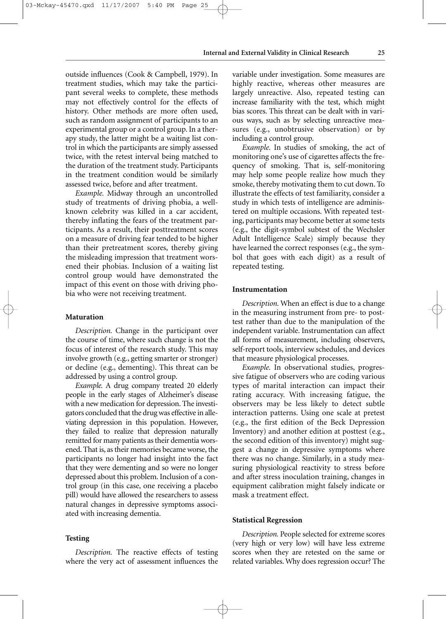outside influences (Cook & Campbell, 1979). In treatment studies, which may take the participant several weeks to complete, these methods may not effectively control for the effects of history. Other methods are more often used, such as random assignment of participants to an experimental group or a control group. In a therapy study, the latter might be a waiting list control in which the participants are simply assessed twice, with the retest interval being matched to the duration of the treatment study. Participants in the treatment condition would be similarly assessed twice, before and after treatment.

03-Mckay-45470.qxd 11/17/2007 5:40 PM Page 25

*Example.* Midway through an uncontrolled study of treatments of driving phobia, a wellknown celebrity was killed in a car accident, thereby inflating the fears of the treatment participants. As a result, their posttreatment scores on a measure of driving fear tended to be higher than their pretreatment scores, thereby giving the misleading impression that treatment worsened their phobias. Inclusion of a waiting list control group would have demonstrated the impact of this event on those with driving phobia who were not receiving treatment.

#### **Maturation**

*Description.* Change in the participant over the course of time, where such change is not the focus of interest of the research study. This may involve growth (e.g., getting smarter or stronger) or decline (e.g., dementing). This threat can be addressed by using a control group.

*Example.* A drug company treated 20 elderly people in the early stages of Alzheimer's disease with a new medication for depression. The investigators concluded that the drug was effective in alleviating depression in this population. However, they failed to realize that depression naturally remitted for many patients as their dementia worsened. That is, as their memories became worse, the participants no longer had insight into the fact that they were dementing and so were no longer depressed about this problem. Inclusion of a control group (in this case, one receiving a placebo pill) would have allowed the researchers to assess natural changes in depressive symptoms associated with increasing dementia.

#### **Testing**

*Description.* The reactive effects of testing where the very act of assessment influences the variable under investigation. Some measures are highly reactive, whereas other measures are largely unreactive. Also, repeated testing can increase familiarity with the test, which might bias scores. This threat can be dealt with in various ways, such as by selecting unreactive measures (e.g., unobtrusive observation) or by including a control group.

*Example.* In studies of smoking, the act of monitoring one's use of cigarettes affects the frequency of smoking. That is, self-monitoring may help some people realize how much they smoke, thereby motivating them to cut down. To illustrate the effects of test familiarity, consider a study in which tests of intelligence are administered on multiple occasions. With repeated testing, participants may become better at some tests (e.g., the digit-symbol subtest of the Wechsler Adult Intelligence Scale) simply because they have learned the correct responses (e.g., the symbol that goes with each digit) as a result of repeated testing.

#### **Instrumentation**

*Description.* When an effect is due to a change in the measuring instrument from pre- to posttest rather than due to the manipulation of the independent variable. Instrumentation can affect all forms of measurement, including observers, self-report tools, interview schedules, and devices that measure physiological processes.

*Example.* In observational studies, progressive fatigue of observers who are coding various types of marital interaction can impact their rating accuracy. With increasing fatigue, the observers may be less likely to detect subtle interaction patterns. Using one scale at pretest (e.g., the first edition of the Beck Depression Inventory) and another edition at posttest (e.g., the second edition of this inventory) might suggest a change in depressive symptoms where there was no change. Similarly, in a study measuring physiological reactivity to stress before and after stress inoculation training, changes in equipment calibration might falsely indicate or mask a treatment effect.

#### **Statistical Regression**

*Description.* People selected for extreme scores (very high or very low) will have less extreme scores when they are retested on the same or related variables. Why does regression occur? The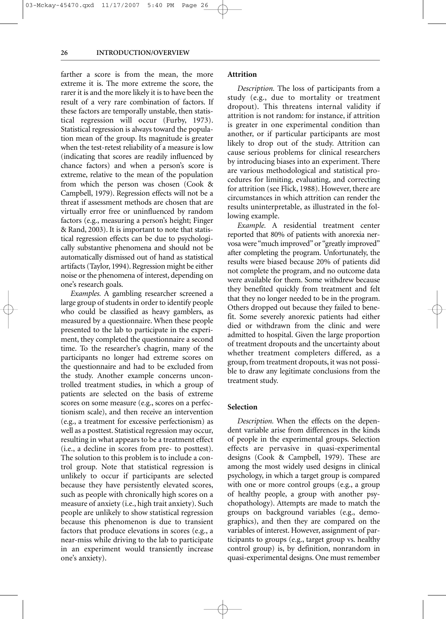#### **26 INTRODUCTION/OVERVIEW**

farther a score is from the mean, the more extreme it is. The more extreme the score, the rarer it is and the more likely it is to have been the result of a very rare combination of factors. If these factors are temporally unstable, then statistical regression will occur (Furby, 1973). Statistical regression is always toward the population mean of the group. Its magnitude is greater when the test-retest reliability of a measure is low (indicating that scores are readily influenced by chance factors) and when a person's score is extreme, relative to the mean of the population from which the person was chosen (Cook & Campbell, 1979). Regression effects will not be a threat if assessment methods are chosen that are virtually error free or uninfluenced by random factors (e.g., measuring a person's height; Finger & Rand, 2003). It is important to note that statistical regression effects can be due to psychologically substantive phenomena and should not be automatically dismissed out of hand as statistical artifacts (Taylor, 1994). Regression might be either noise or the phenomena of interest, depending on one's research goals.

*Examples.* A gambling researcher screened a large group of students in order to identify people who could be classified as heavy gamblers, as measured by a questionnaire. When these people presented to the lab to participate in the experiment, they completed the questionnaire a second time. To the researcher's chagrin, many of the participants no longer had extreme scores on the questionnaire and had to be excluded from the study. Another example concerns uncontrolled treatment studies, in which a group of patients are selected on the basis of extreme scores on some measure (e.g., scores on a perfectionism scale), and then receive an intervention (e.g., a treatment for excessive perfectionism) as well as a posttest. Statistical regression may occur, resulting in what appears to be a treatment effect (i.e., a decline in scores from pre- to posttest). The solution to this problem is to include a control group. Note that statistical regression is unlikely to occur if participants are selected because they have persistently elevated scores, such as people with chronically high scores on a measure of anxiety (i.e., high trait anxiety). Such people are unlikely to show statistical regression because this phenomenon is due to transient factors that produce elevations in scores (e.g., a near-miss while driving to the lab to participate in an experiment would transiently increase one's anxiety).

#### **Attrition**

*Description.* The loss of participants from a study (e.g., due to mortality or treatment dropout). This threatens internal validity if attrition is not random: for instance, if attrition is greater in one experimental condition than another, or if particular participants are most likely to drop out of the study. Attrition can cause serious problems for clinical researchers by introducing biases into an experiment. There are various methodological and statistical procedures for limiting, evaluating, and correcting for attrition (see Flick, 1988). However, there are circumstances in which attrition can render the results uninterpretable, as illustrated in the following example.

*Example.* A residential treatment center reported that 80% of patients with anorexia nervosa were "much improved" or "greatly improved" after completing the program. Unfortunately, the results were biased because 20% of patients did not complete the program, and no outcome data were available for them. Some withdrew because they benefited quickly from treatment and felt that they no longer needed to be in the program. Others dropped out because they failed to benefit. Some severely anorexic patients had either died or withdrawn from the clinic and were admitted to hospital. Given the large proportion of treatment dropouts and the uncertainty about whether treatment completers differed, as a group, from treatment dropouts, it was not possible to draw any legitimate conclusions from the treatment study.

#### **Selection**

*Description.* When the effects on the dependent variable arise from differences in the kinds of people in the experimental groups. Selection effects are pervasive in quasi-experimental designs (Cook & Campbell, 1979). These are among the most widely used designs in clinical psychology, in which a target group is compared with one or more control groups (e.g., a group of healthy people, a group with another psychopathology). Attempts are made to match the groups on background variables (e.g., demographics), and then they are compared on the variables of interest. However, assignment of participants to groups (e.g., target group vs. healthy control group) is, by definition, nonrandom in quasi-experimental designs. One must remember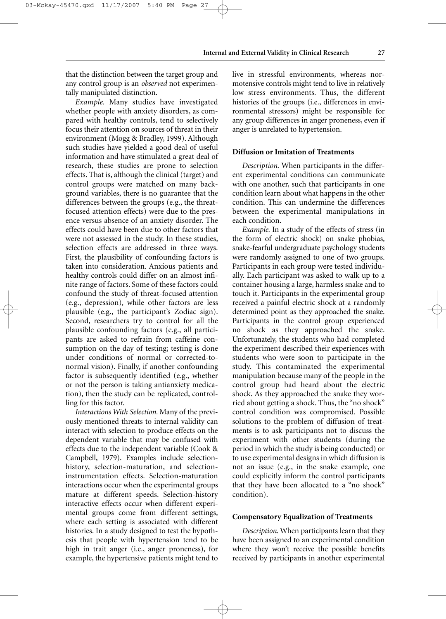that the distinction between the target group and any control group is an *observed* not experimentally manipulated distinction.

*Example.* Many studies have investigated whether people with anxiety disorders, as compared with healthy controls, tend to selectively focus their attention on sources of threat in their environment (Mogg & Bradley, 1999). Although such studies have yielded a good deal of useful information and have stimulated a great deal of research, these studies are prone to selection effects. That is, although the clinical (target) and control groups were matched on many background variables, there is no guarantee that the differences between the groups (e.g., the threatfocused attention effects) were due to the presence versus absence of an anxiety disorder. The effects could have been due to other factors that were not assessed in the study. In these studies, selection effects are addressed in three ways. First, the plausibility of confounding factors is taken into consideration. Anxious patients and healthy controls could differ on an almost infinite range of factors. Some of these factors could confound the study of threat-focused attention (e.g., depression), while other factors are less plausible (e.g., the participant's Zodiac sign). Second, researchers try to control for all the plausible confounding factors (e.g., all participants are asked to refrain from caffeine consumption on the day of testing; testing is done under conditions of normal or corrected-tonormal vision). Finally, if another confounding factor is subsequently identified (e.g., whether or not the person is taking antianxiety medication), then the study can be replicated, controlling for this factor.

*Interactions With Selection.* Many of the previously mentioned threats to internal validity can interact with selection to produce effects on the dependent variable that may be confused with effects due to the independent variable (Cook & Campbell, 1979). Examples include selectionhistory, selection-maturation, and selectioninstrumentation effects. Selection-maturation interactions occur when the experimental groups mature at different speeds. Selection-history interactive effects occur when different experimental groups come from different settings, where each setting is associated with different histories. In a study designed to test the hypothesis that people with hypertension tend to be high in trait anger (i.e., anger proneness), for example, the hypertensive patients might tend to live in stressful environments, whereas normotensive controls might tend to live in relatively low stress environments. Thus, the different histories of the groups (i.e., differences in environmental stressors) might be responsible for any group differences in anger proneness, even if anger is unrelated to hypertension.

#### **Diffusion or Imitation of Treatments**

*Description.* When participants in the different experimental conditions can communicate with one another, such that participants in one condition learn about what happens in the other condition. This can undermine the differences between the experimental manipulations in each condition.

*Example.* In a study of the effects of stress (in the form of electric shock) on snake phobias, snake-fearful undergraduate psychology students were randomly assigned to one of two groups. Participants in each group were tested individually. Each participant was asked to walk up to a container housing a large, harmless snake and to touch it. Participants in the experimental group received a painful electric shock at a randomly determined point as they approached the snake. Participants in the control group experienced no shock as they approached the snake. Unfortunately, the students who had completed the experiment described their experiences with students who were soon to participate in the study. This contaminated the experimental manipulation because many of the people in the control group had heard about the electric shock. As they approached the snake they worried about getting a shock. Thus, the "no shock" control condition was compromised. Possible solutions to the problem of diffusion of treatments is to ask participants not to discuss the experiment with other students (during the period in which the study is being conducted) or to use experimental designs in which diffusion is not an issue (e.g., in the snake example, one could explicitly inform the control participants that they have been allocated to a "no shock" condition).

#### **Compensatory Equalization of Treatments**

*Description.* When participants learn that they have been assigned to an experimental condition where they won't receive the possible benefits received by participants in another experimental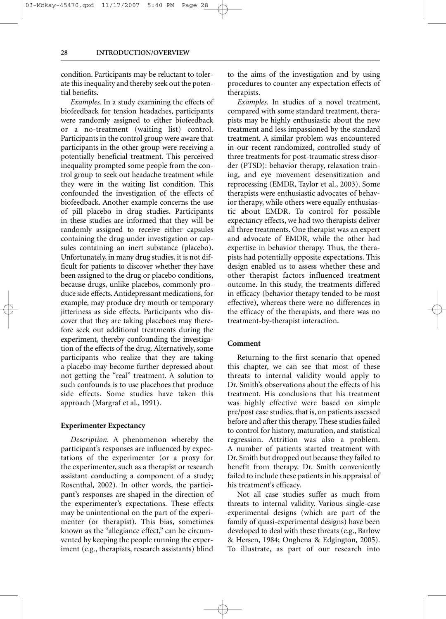condition. Participants may be reluctant to tolerate this inequality and thereby seek out the potential benefits.

*Examples.* In a study examining the effects of biofeedback for tension headaches, participants were randomly assigned to either biofeedback or a no-treatment (waiting list) control. Participants in the control group were aware that participants in the other group were receiving a potentially beneficial treatment. This perceived inequality prompted some people from the control group to seek out headache treatment while they were in the waiting list condition. This confounded the investigation of the effects of biofeedback. Another example concerns the use of pill placebo in drug studies. Participants in these studies are informed that they will be randomly assigned to receive either capsules containing the drug under investigation or capsules containing an inert substance (placebo). Unfortunately, in many drug studies, it is not difficult for patients to discover whether they have been assigned to the drug or placebo conditions, because drugs, unlike placebos, commonly produce side effects. Antidepressant medications, for example, may produce dry mouth or temporary jitteriness as side effects. Participants who discover that they are taking placeboes may therefore seek out additional treatments during the experiment, thereby confounding the investigation of the effects of the drug. Alternatively, some participants who realize that they are taking a placebo may become further depressed about not getting the "real" treatment. A solution to such confounds is to use placeboes that produce side effects. Some studies have taken this approach (Margraf et al., 1991).

#### **Experimenter Expectancy**

*Description.* A phenomenon whereby the participant's responses are influenced by expectations of the experimenter (or a proxy for the experimenter, such as a therapist or research assistant conducting a component of a study; Rosenthal, 2002). In other words, the participant's responses are shaped in the direction of the experimenter's expectations. These effects may be unintentional on the part of the experimenter (or therapist). This bias, sometimes known as the "allegiance effect," can be circumvented by keeping the people running the experiment (e.g., therapists, research assistants) blind to the aims of the investigation and by using procedures to counter any expectation effects of therapists.

*Examples.* In studies of a novel treatment, compared with some standard treatment, therapists may be highly enthusiastic about the new treatment and less impassioned by the standard treatment. A similar problem was encountered in our recent randomized, controlled study of three treatments for post-traumatic stress disorder (PTSD): behavior therapy, relaxation training, and eye movement desensitization and reprocessing (EMDR, Taylor et al., 2003). Some therapists were enthusiastic advocates of behavior therapy, while others were equally enthusiastic about EMDR. To control for possible expectancy effects, we had two therapists deliver all three treatments. One therapist was an expert and advocate of EMDR, while the other had expertise in behavior therapy. Thus, the therapists had potentially opposite expectations. This design enabled us to assess whether these and other therapist factors influenced treatment outcome. In this study, the treatments differed in efficacy (behavior therapy tended to be most effective), whereas there were no differences in the efficacy of the therapists, and there was no treatment-by-therapist interaction.

#### **Comment**

Returning to the first scenario that opened this chapter, we can see that most of these threats to internal validity would apply to Dr. Smith's observations about the effects of his treatment. His conclusions that his treatment was highly effective were based on simple pre/post case studies, that is, on patients assessed before and after this therapy. These studies failed to control for history, maturation, and statistical regression. Attrition was also a problem. A number of patients started treatment with Dr. Smith but dropped out because they failed to benefit from therapy. Dr. Smith conveniently failed to include these patients in his appraisal of his treatment's efficacy.

Not all case studies suffer as much from threats to internal validity. Various single-case experimental designs (which are part of the family of quasi-experimental designs) have been developed to deal with these threats (e.g., Barlow & Hersen, 1984; Onghena & Edgington, 2005). To illustrate, as part of our research into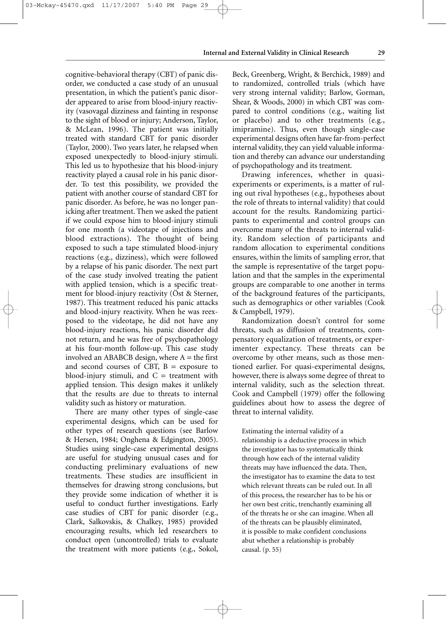cognitive-behavioral therapy (CBT) of panic disorder, we conducted a case study of an unusual presentation, in which the patient's panic disorder appeared to arise from blood-injury reactivity (vasovagal dizziness and fainting in response to the sight of blood or injury; Anderson, Taylor, & McLean, 1996). The patient was initially treated with standard CBT for panic disorder (Taylor, 2000). Two years later, he relapsed when exposed unexpectedly to blood-injury stimuli. This led us to hypothesize that his blood-injury reactivity played a causal role in his panic disorder. To test this possibility, we provided the patient with another course of standard CBT for panic disorder. As before, he was no longer panicking after treatment. Then we asked the patient if we could expose him to blood-injury stimuli for one month (a videotape of injections and blood extractions). The thought of being exposed to such a tape stimulated blood-injury reactions (e.g., dizziness), which were followed by a relapse of his panic disorder. The next part of the case study involved treating the patient with applied tension, which is a specific treatment for blood-injury reactivity (Öst & Sterner, 1987). This treatment reduced his panic attacks and blood-injury reactivity. When he was reexposed to the videotape, he did not have any blood-injury reactions, his panic disorder did not return, and he was free of psychopathology at his four-month follow-up. This case study involved an ABABCB design, where  $A =$  the first and second courses of CBT,  $B =$  exposure to blood-injury stimuli, and  $C =$  treatment with applied tension. This design makes it unlikely that the results are due to threats to internal validity such as history or maturation.

There are many other types of single-case experimental designs, which can be used for other types of research questions (see Barlow & Hersen, 1984; Onghena & Edgington, 2005). Studies using single-case experimental designs are useful for studying unusual cases and for conducting preliminary evaluations of new treatments. These studies are insufficient in themselves for drawing strong conclusions, but they provide some indication of whether it is useful to conduct further investigations. Early case studies of CBT for panic disorder (e.g., Clark, Salkovskis, & Chalkey, 1985) provided encouraging results, which led researchers to conduct open (uncontrolled) trials to evaluate the treatment with more patients (e.g., Sokol,

Beck, Greenberg, Wright, & Berchick, 1989) and to randomized, controlled trials (which have very strong internal validity; Barlow, Gorman, Shear, & Woods, 2000) in which CBT was compared to control conditions (e.g., waiting list or placebo) and to other treatments (e.g., imipramine). Thus, even though single-case experimental designs often have far-from-perfect internal validity, they can yield valuable information and thereby can advance our understanding of psychopathology and its treatment.

Drawing inferences, whether in quasiexperiments or experiments, is a matter of ruling out rival hypotheses (e.g., hypotheses about the role of threats to internal validity) that could account for the results. Randomizing participants to experimental and control groups can overcome many of the threats to internal validity. Random selection of participants and random allocation to experimental conditions ensures, within the limits of sampling error, that the sample is representative of the target population and that the samples in the experimental groups are comparable to one another in terms of the background features of the participants, such as demographics or other variables (Cook & Campbell, 1979).

Randomization doesn't control for some threats, such as diffusion of treatments, compensatory equalization of treatments, or experimenter expectancy. These threats can be overcome by other means, such as those mentioned earlier. For quasi-experimental designs, however, there is always some degree of threat to internal validity, such as the selection threat. Cook and Campbell (1979) offer the following guidelines about how to assess the degree of threat to internal validity.

Estimating the internal validity of a relationship is a deductive process in which the investigator has to systematically think through how each of the internal validity threats may have influenced the data. Then, the investigator has to examine the data to test which relevant threats can be ruled out. In all of this process, the researcher has to be his or her own best critic, trenchantly examining all of the threats he or she can imagine. When all of the threats can be plausibly eliminated, it is possible to make confident conclusions abut whether a relationship is probably causal. (p. 55)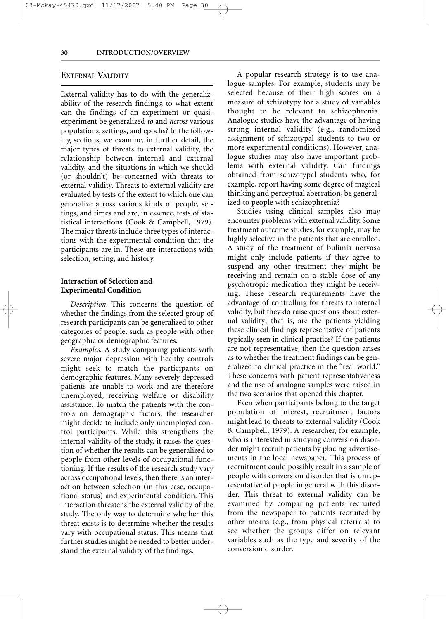#### **EXTERNAL VALIDITY**

External validity has to do with the generalizability of the research findings; to what extent can the findings of an experiment or quasiexperiment be generalized *to* and *across* various populations, settings, and epochs? In the following sections, we examine, in further detail, the major types of threats to external validity, the relationship between internal and external validity, and the situations in which we should (or shouldn't) be concerned with threats to external validity. Threats to external validity are evaluated by tests of the extent to which one can generalize across various kinds of people, settings, and times and are, in essence, tests of statistical interactions (Cook & Campbell, 1979). The major threats include three types of interactions with the experimental condition that the participants are in. These are interactions with selection, setting, and history.

#### **Interaction of Selection and Experimental Condition**

*Description.* This concerns the question of whether the findings from the selected group of research participants can be generalized to other categories of people, such as people with other geographic or demographic features.

*Examples.* A study comparing patients with severe major depression with healthy controls might seek to match the participants on demographic features. Many severely depressed patients are unable to work and are therefore unemployed, receiving welfare or disability assistance. To match the patients with the controls on demographic factors, the researcher might decide to include only unemployed control participants. While this strengthens the internal validity of the study, it raises the question of whether the results can be generalized to people from other levels of occupational functioning. If the results of the research study vary across occupational levels, then there is an interaction between selection (in this case, occupational status) and experimental condition. This interaction threatens the external validity of the study. The only way to determine whether this threat exists is to determine whether the results vary with occupational status. This means that further studies might be needed to better understand the external validity of the findings.

A popular research strategy is to use analogue samples. For example, students may be selected because of their high scores on a measure of schizotypy for a study of variables thought to be relevant to schizophrenia. Analogue studies have the advantage of having strong internal validity (e.g., randomized assignment of schizotypal students to two or more experimental conditions). However, analogue studies may also have important problems with external validity. Can findings obtained from schizotypal students who, for example, report having some degree of magical thinking and perceptual aberration, be generalized to people with schizophrenia?

Studies using clinical samples also may encounter problems with external validity. Some treatment outcome studies, for example, may be highly selective in the patients that are enrolled. A study of the treatment of bulimia nervosa might only include patients if they agree to suspend any other treatment they might be receiving and remain on a stable dose of any psychotropic medication they might be receiving. These research requirements have the advantage of controlling for threats to internal validity, but they do raise questions about external validity; that is, are the patients yielding these clinical findings representative of patients typically seen in clinical practice? If the patients are not representative, then the question arises as to whether the treatment findings can be generalized to clinical practice in the "real world." These concerns with patient representativeness and the use of analogue samples were raised in the two scenarios that opened this chapter.

Even when participants belong to the target population of interest, recruitment factors might lead to threats to external validity (Cook & Campbell, 1979). A researcher, for example, who is interested in studying conversion disorder might recruit patients by placing advertisements in the local newspaper. This process of recruitment could possibly result in a sample of people with conversion disorder that is unrepresentative of people in general with this disorder. This threat to external validity can be examined by comparing patients recruited from the newspaper to patients recruited by other means (e.g., from physical referrals) to see whether the groups differ on relevant variables such as the type and severity of the conversion disorder.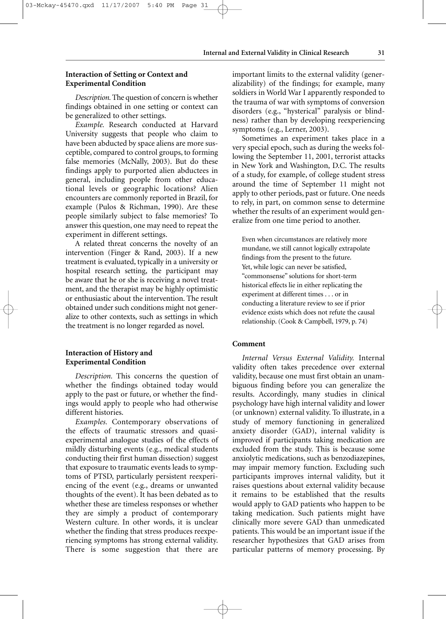#### **Interaction of Setting or Context and Experimental Condition**

03-Mckay-45470.qxd 11/17/2007 5:40 PM Page 31

*Description.* The question of concern is whether findings obtained in one setting or context can be generalized to other settings.

*Example.* Research conducted at Harvard University suggests that people who claim to have been abducted by space aliens are more susceptible, compared to control groups, to forming false memories (McNally, 2003). But do these findings apply to purported alien abductees in general, including people from other educational levels or geographic locations? Alien encounters are commonly reported in Brazil, for example (Pulos & Richman, 1990). Are these people similarly subject to false memories? To answer this question, one may need to repeat the experiment in different settings.

A related threat concerns the novelty of an intervention (Finger & Rand, 2003). If a new treatment is evaluated, typically in a university or hospital research setting, the participant may be aware that he or she is receiving a novel treatment, and the therapist may be highly optimistic or enthusiastic about the intervention. The result obtained under such conditions might not generalize to other contexts, such as settings in which the treatment is no longer regarded as novel.

#### **Interaction of History and Experimental Condition**

*Description.* This concerns the question of whether the findings obtained today would apply to the past or future, or whether the findings would apply to people who had otherwise different histories.

*Examples.* Contemporary observations of the effects of traumatic stressors and quasiexperimental analogue studies of the effects of mildly disturbing events (e.g., medical students conducting their first human dissection) suggest that exposure to traumatic events leads to symptoms of PTSD, particularly persistent reexperiencing of the event (e.g., dreams or unwanted thoughts of the event). It has been debated as to whether these are timeless responses or whether they are simply a product of contemporary Western culture. In other words, it is unclear whether the finding that stress produces reexperiencing symptoms has strong external validity. There is some suggestion that there are important limits to the external validity (generalizability) of the findings; for example, many soldiers in World War I apparently responded to the trauma of war with symptoms of conversion disorders (e.g., "hysterical" paralysis or blindness) rather than by developing reexperiencing symptoms (e.g., Lerner, 2003).

Sometimes an experiment takes place in a very special epoch, such as during the weeks following the September 11, 2001, terrorist attacks in New York and Washington, D.C. The results of a study, for example, of college student stress around the time of September 11 might not apply to other periods, past or future. One needs to rely, in part, on common sense to determine whether the results of an experiment would generalize from one time period to another.

Even when circumstances are relatively more mundane, we still cannot logically extrapolate findings from the present to the future. Yet, while logic can never be satisfied, "commonsense" solutions for short-term historical effects lie in either replicating the experiment at different times . . . or in conducting a literature review to see if prior evidence exists which does not refute the causal relationship. (Cook & Campbell, 1979, p. 74)

#### **Comment**

*Internal Versus External Validity.* Internal validity often takes precedence over external validity, because one must first obtain an unambiguous finding before you can generalize the results. Accordingly, many studies in clinical psychology have high internal validity and lower (or unknown) external validity. To illustrate, in a study of memory functioning in generalized anxiety disorder (GAD), internal validity is improved if participants taking medication are excluded from the study. This is because some anxiolytic medications, such as benzodiazepines, may impair memory function. Excluding such participants improves internal validity, but it raises questions about external validity because it remains to be established that the results would apply to GAD patients who happen to be taking medication. Such patients might have clinically more severe GAD than unmedicated patients. This would be an important issue if the researcher hypothesizes that GAD arises from particular patterns of memory processing. By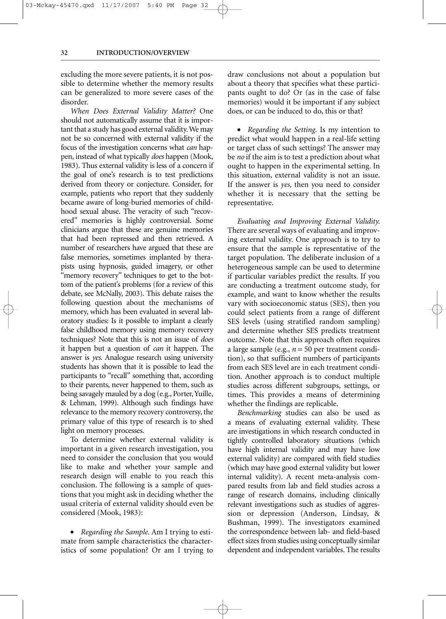excluding the more severe patients, it is not possible to determine whether the memory results can be generalized to more severe cases of the disorder.

*When Does External Validity Matter?* One should not automatically assume that it is important that a study has good external validity.We may not be so concerned with external validity if the focus of the investigation concerns what *can* happen, instead of what typically *does* happen (Mook, 1983). Thus external validity is less of a concern if the goal of one's research is to test predictions derived from theory or conjecture. Consider, for example, patients who report that they suddenly became aware of long-buried memories of childhood sexual abuse. The veracity of such "recovered" memories is highly controversial. Some clinicians argue that these are genuine memories that had been repressed and then retrieved. A number of researchers have argued that these are false memories, sometimes implanted by therapists using hypnosis, guided imagery, or other "memory recovery" techniques to get to the bottom of the patient's problems (for a review of this debate, see McNally, 2003). This debate raises the following question about the mechanisms of memory, which has been evaluated in several laboratory studies: Is it possible to implant a clearly false childhood memory using memory recovery techniques? Note that this is not an issue of *does* it happen but a question of *can* it happen. The answer is *yes.* Analogue research using university students has shown that it is possible to lead the participants to "recall" something that, according to their parents, never happened to them, such as being savagely mauled by a dog (e.g., Porter, Yuille, & Lehman, 1999). Although such findings have relevance to the memory recovery controversy, the primary value of this type of research is to shed light on memory processes.

To determine whether external validity is important in a given research investigation, you need to consider the conclusion that you would like to make and whether your sample and research design will enable to you reach this conclusion. The following is a sample of questions that you might ask in deciding whether the usual criteria of external validity should even be considered (Mook, 1983):

• *Regarding the Sample.* Am I trying to estimate from sample characteristics the characteristics of some population? Or am I trying to draw conclusions not about a population but about a theory that specifies what these participants ought to do? Or (as in the case of false memories) would it be important if any subject does, or can be induced to do, this or that?

• *Regarding the Setting.* Is my intention to predict what would happen in a real-life setting or target class of such settings? The answer may be *no* if the aim is to test a prediction about what ought to happen in the experimental setting. In this situation, external validity is not an issue. If the answer is *yes,* then you need to consider whether it is necessary that the setting be representative.

*Evaluating and Improving External Validity.* There are several ways of evaluating and improving external validity. One approach is to try to ensure that the sample is representative of the target population. The deliberate inclusion of a heterogeneous sample can be used to determine if particular variables predict the results. If you are conducting a treatment outcome study, for example, and want to know whether the results vary with socioeconomic status (SES), then you could select patients from a range of different SES levels (using stratified random sampling) and determine whether SES predicts treatment outcome. Note that this approach often requires a large sample (e.g., *n* = 50 per treatment condition), so that sufficient numbers of participants from each SES level are in each treatment condition. Another approach is to conduct multiple studies across different subgroups, settings, or times. This provides a means of determining whether the findings are replicable.

*Benchmarking* studies can also be used as a means of evaluating external validity. These are investigations in which research conducted in tightly controlled laboratory situations (which have high internal validity and may have low external validity) are compared with field studies (which may have good external validity but lower internal validity). A recent meta-analysis compared results from lab and field studies across a range of research domains, including clinically relevant investigations such as studies of aggression or depression (Anderson, Lindsay, & Bushman, 1999). The investigators examined the correspondence between lab- and field-based effect sizes from studies using conceptually similar dependent and independent variables. The results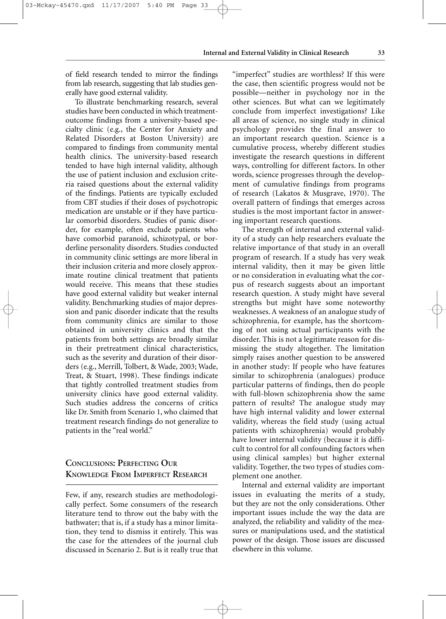of field research tended to mirror the findings from lab research, suggesting that lab studies generally have good external validity.

To illustrate benchmarking research, several studies have been conducted in which treatmentoutcome findings from a university-based specialty clinic (e.g., the Center for Anxiety and Related Disorders at Boston University) are compared to findings from community mental health clinics. The university-based research tended to have high internal validity, although the use of patient inclusion and exclusion criteria raised questions about the external validity of the findings. Patients are typically excluded from CBT studies if their doses of psychotropic medication are unstable or if they have particular comorbid disorders. Studies of panic disorder, for example, often exclude patients who have comorbid paranoid, schizotypal, or borderline personality disorders. Studies conducted in community clinic settings are more liberal in their inclusion criteria and more closely approximate routine clinical treatment that patients would receive. This means that these studies have good external validity but weaker internal validity. Benchmarking studies of major depression and panic disorder indicate that the results from community clinics are similar to those obtained in university clinics and that the patients from both settings are broadly similar in their pretreatment clinical characteristics, such as the severity and duration of their disorders (e.g., Merrill, Tolbert, & Wade, 2003; Wade, Treat, & Stuart, 1998). These findings indicate that tightly controlled treatment studies from university clinics have good external validity. Such studies address the concerns of critics like Dr. Smith from Scenario 1, who claimed that treatment research findings do not generalize to patients in the "real world."

### **CONCLUSIONS: PERFECTING OUR KNOWLEDGE FROM IMPERFECT RESEARCH**

Few, if any, research studies are methodologically perfect. Some consumers of the research literature tend to throw out the baby with the bathwater; that is, if a study has a minor limitation, they tend to dismiss it entirely. This was the case for the attendees of the journal club discussed in Scenario 2. But is it really true that

"imperfect" studies are worthless? If this were the case, then scientific progress would not be possible—neither in psychology nor in the other sciences. But what can we legitimately conclude from imperfect investigations? Like all areas of science, no single study in clinical psychology provides the final answer to an important research question. Science is a cumulative process, whereby different studies investigate the research questions in different ways, controlling for different factors. In other words, science progresses through the development of cumulative findings from programs of research (Lakatos & Musgrave, 1970). The overall pattern of findings that emerges across studies is the most important factor in answering important research questions.

The strength of internal and external validity of a study can help researchers evaluate the relative importance of that study in an overall program of research. If a study has very weak internal validity, then it may be given little or no consideration in evaluating what the corpus of research suggests about an important research question. A study might have several strengths but might have some noteworthy weaknesses. A weakness of an analogue study of schizophrenia, for example, has the shortcoming of not using actual participants with the disorder. This is not a legitimate reason for dismissing the study altogether. The limitation simply raises another question to be answered in another study: If people who have features similar to schizophrenia (analogues) produce particular patterns of findings, then do people with full-blown schizophrenia show the same pattern of results? The analogue study may have high internal validity and lower external validity, whereas the field study (using actual patients with schizophrenia) would probably have lower internal validity (because it is difficult to control for all confounding factors when using clinical samples) but higher external validity. Together, the two types of studies complement one another.

Internal and external validity are important issues in evaluating the merits of a study, but they are not the only considerations. Other important issues include the way the data are analyzed, the reliability and validity of the measures or manipulations used, and the statistical power of the design. Those issues are discussed elsewhere in this volume.